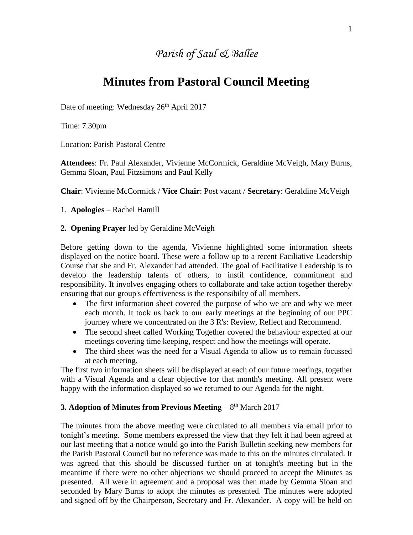## *Parish of Saul & Ballee*

# **Minutes from Pastoral Council Meeting**

Date of meeting: Wednesday 26<sup>th</sup> April 2017

Time: 7.30pm

Location: Parish Pastoral Centre

**Attendees**: Fr. Paul Alexander, Vivienne McCormick, Geraldine McVeigh, Mary Burns, Gemma Sloan, Paul Fitzsimons and Paul Kelly

**Chair**: Vivienne McCormick / **Vice Chair**: Post vacant / **Secretary**: Geraldine McVeigh

#### 1. **Apologies** – Rachel Hamill

#### **2. Opening Prayer** led by Geraldine McVeigh

Before getting down to the agenda, Vivienne highlighted some information sheets displayed on the notice board. These were a follow up to a recent Faciliative Leadership Course that she and Fr. Alexander had attended. The goal of Facilitative Leadership is to develop the leadership talents of others, to instil confidence, commitment and responsibility. It involves engaging others to collaborate and take action together thereby ensuring that our group's effectiveness is the responsibilty of all members.

- The first information sheet covered the purpose of who we are and why we meet each month. It took us back to our early meetings at the beginning of our PPC journey where we concentrated on the 3 R's: Review, Reflect and Recommend.
- The second sheet called Working Together covered the behaviour expected at our meetings covering time keeping, respect and how the meetings will operate.
- The third sheet was the need for a Visual Agenda to allow us to remain focussed at each meeting.

The first two information sheets will be displayed at each of our future meetings, together with a Visual Agenda and a clear objective for that month's meeting. All present were happy with the information displayed so we returned to our Agenda for the night.

## **3. Adoption of Minutes from Previous Meeting – 8<sup>th</sup> March 2017**

The minutes from the above meeting were circulated to all members via email prior to tonight's meeting. Some members expressed the view that they felt it had been agreed at our last meeting that a notice would go into the Parish Bulletin seeking new members for the Parish Pastoral Council but no reference was made to this on the minutes circulated. It was agreed that this should be discussed further on at tonight's meeting but in the meantime if there were no other objections we should proceed to accept the Minutes as presented. All were in agreement and a proposal was then made by Gemma Sloan and seconded by Mary Burns to adopt the minutes as presented. The minutes were adopted and signed off by the Chairperson, Secretary and Fr. Alexander. A copy will be held on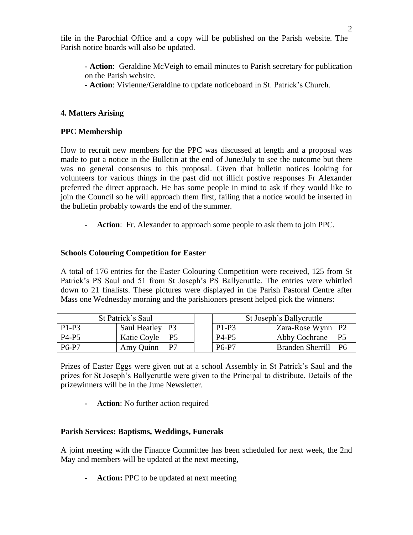file in the Parochial Office and a copy will be published on the Parish website. The Parish notice boards will also be updated.

**- Action**: Geraldine McVeigh to email minutes to Parish secretary for publication on the Parish website.

- **Action**: Vivienne/Geraldine to update noticeboard in St. Patrick's Church.

## **4. Matters Arising**

## **PPC Membership**

How to recruit new members for the PPC was discussed at length and a proposal was made to put a notice in the Bulletin at the end of June/July to see the outcome but there was no general consensus to this proposal. Given that bulletin notices looking for volunteers for various things in the past did not illicit postive responses Fr Alexander preferred the direct approach. He has some people in mind to ask if they would like to join the Council so he will approach them first, failing that a notice would be inserted in the bulletin probably towards the end of the summer.

**- Action**: Fr. Alexander to approach some people to ask them to join PPC.

#### **Schools Colouring Competition for Easter**

A total of 176 entries for the Easter Colouring Competition were received, 125 from St Patrick's PS Saul and 51 from St Joseph's PS Ballycruttle. The entries were whittled down to 21 finalists. These pictures were displayed in the Parish Pastoral Centre after Mass one Wednesday morning and the parishioners present helped pick the winners:

| St Patrick's Saul              |                 | St Joseph's Ballycruttle       |                            |
|--------------------------------|-----------------|--------------------------------|----------------------------|
| $P1-P3$                        | Saul Heatley P3 | $P1-P3$                        | Zara-Rose Wynn P2          |
| P <sub>4</sub> -P <sub>5</sub> | Katie Coyle P5  | P <sub>4</sub> -P <sub>5</sub> | Abby Cochrane<br><b>P5</b> |
| <b>P6-P7</b>                   | Amy Quinn<br>P7 | P6-P7                          | Branden Sherrill<br>- P6   |

Prizes of Easter Eggs were given out at a school Assembly in St Patrick's Saul and the prizes for St Joseph's Ballycruttle were given to the Principal to distribute. Details of the prizewinners will be in the June Newsletter.

**- Action**: No further action required

#### **Parish Services: Baptisms, Weddings, Funerals**

A joint meeting with the Finance Committee has been scheduled for next week, the 2nd May and members will be updated at the next meeting,

**- Action:** PPC to be updated at next meeting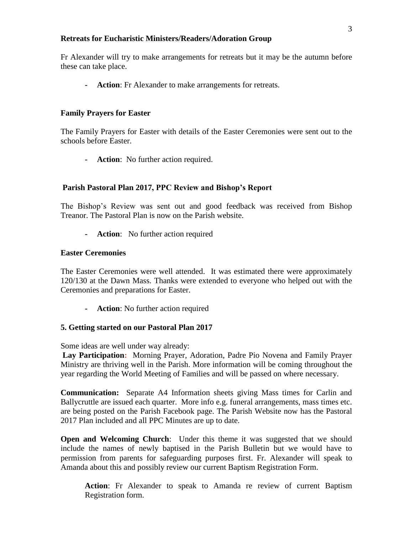#### **Retreats for Eucharistic Ministers/Readers/Adoration Group**

Fr Alexander will try to make arrangements for retreats but it may be the autumn before these can take place.

**- Action**: Fr Alexander to make arrangements for retreats.

## **Family Prayers for Easter**

The Family Prayers for Easter with details of the Easter Ceremonies were sent out to the schools before Easter.

**- Action**: No further action required.

## **Parish Pastoral Plan 2017, PPC Review and Bishop's Report**

The Bishop's Review was sent out and good feedback was received from Bishop Treanor. The Pastoral Plan is now on the Parish website.

**- Action**: No further action required

#### **Easter Ceremonies**

The Easter Ceremonies were well attended. It was estimated there were approximately 120/130 at the Dawn Mass. Thanks were extended to everyone who helped out with the Ceremonies and preparations for Easter.

**- Action**: No further action required

#### **5. Getting started on our Pastoral Plan 2017**

Some ideas are well under way already:

**Lay Participation:** Morning Prayer, Adoration, Padre Pio Novena and Family Prayer Ministry are thriving well in the Parish. More information will be coming throughout the year regarding the World Meeting of Families and will be passed on where necessary.

**Communication:** Separate A4 Information sheets giving Mass times for Carlin and Ballycruttle are issued each quarter. More info e.g. funeral arrangements, mass times etc. are being posted on the Parish Facebook page. The Parish Website now has the Pastoral 2017 Plan included and all PPC Minutes are up to date.

**Open and Welcoming Church**: Under this theme it was suggested that we should include the names of newly baptised in the Parish Bulletin but we would have to permission from parents for safeguarding purposes first. Fr. Alexander will speak to Amanda about this and possibly review our current Baptism Registration Form.

**Action**: Fr Alexander to speak to Amanda re review of current Baptism Registration form.